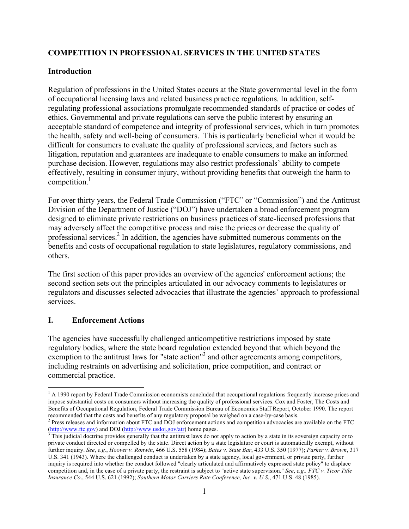# **COMPETITION IN PROFESSIONAL SERVICES IN THE UNITED STATES**

# **Introduction**

Regulation of professions in the United States occurs at the State governmental level in the form of occupational licensing laws and related business practice regulations. In addition, selfregulating professional associations promulgate recommended standards of practice or codes of ethics. Governmental and private regulations can serve the public interest by ensuring an acceptable standard of competence and integrity of professional services, which in turn promotes the health, safety and well-being of consumers. This is particularly beneficial when it would be difficult for consumers to evaluate the quality of professional services, and factors such as litigation, reputation and guarantees are inadequate to enable consumers to make an informed purchase decision. However, regulations may also restrict professionals' ability to compete effectively, resulting in consumer injury, without providing benefits that outweigh the harm to competition. $<sup>1</sup>$ </sup>

For over thirty years, the Federal Trade Commission ("FTC" or "Commission") and the Antitrust Division of the Department of Justice ("DOJ") have undertaken a broad enforcement program designed to eliminate private restrictions on business practices of state-licensed professions that may adversely affect the competitive process and raise the prices or decrease the quality of professional services.<sup>2</sup> In addition, the agencies have submitted numerous comments on the benefits and costs of occupational regulation to state legislatures, regulatory commissions, and others.

The first section of this paper provides an overview of the agencies' enforcement actions; the second section sets out the principles articulated in our advocacy comments to legislatures or regulators and discusses selected advocacies that illustrate the agencies' approach to professional services.

# **I. Enforcement Actions**

The agencies have successfully challenged anticompetitive restrictions imposed by state regulatory bodies, where the state board regulation extended beyond that which beyond the exemption to the antitrust laws for "state action"<sup>3</sup> and other agreements among competitors, including restraints on advertising and solicitation, price competition, and contract or commercial practice.

 $<sup>1</sup>$  A 1990 report by Federal Trade Commission economists concluded that occupational regulations frequently increase prices and</sup> impose substantial costs on consumers without increasing the quality of professional services. Cox and Foster, The Costs and Benefits of Occupational Regulation, Federal Trade Commission Bureau of Economics Staff Report, October 1990. The report recommended that the costs and benefits of any regulatory proposal be weighed on a case-by-case basis.<br><sup>2</sup> Press releases and information about FTC and DOJ enforcement actions and competition advocacies are available on th

 $\frac{\text{(http://www.fc.gov)}{\text{http://www.fc.gov)}}$  and DOJ ( $\frac{\text{http://www.usdoj.gov/atr}}{\text{http://www.usdoj.gov/atr}}$ ) home pages.

private conduct directed or compelled by the state. Direct action by a state legislature or court is automatically exempt, without further inquiry. *See*, *e.g.*, *Hoover v. Ronwin*, 466 U.S. 558 (1984); *Bates v. State Bar*, 433 U.S. 350 (1977); *Parker v. Brown*, 317 U.S. 341 (1943). Where the challenged conduct is undertaken by a state agency, local government, or private party, further inquiry is required into whether the conduct followed "clearly articulated and affirmatively expressed state policy" to displace competition and, in the case of a private party, the restraint is subject to "active state supervision." *See*, *e.g., FTC v. Ticor Title Insurance Co*., 544 U.S. 621 (1992); *Southern Motor Carriers Rate Conference, Inc. v. U.S*., 471 U.S. 48 (1985).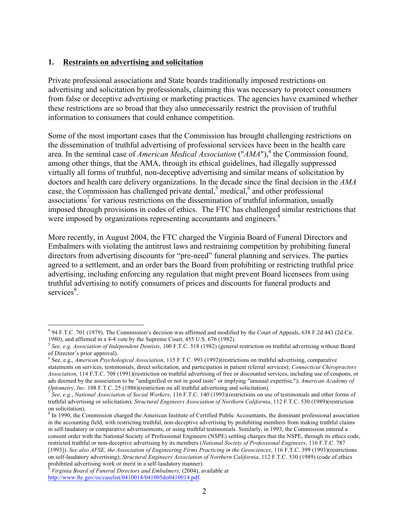#### **1. Restraints on advertising and solicitation**

Private professional associations and State boards traditionally imposed restrictions on advertising and solicitation by professionals, claiming this was necessary to protect consumers from false or deceptive advertising or marketing practices. The agencies have examined whether these restrictions are so broad that they also unnecessarily restrict the provision of truthful information to consumers that could enhance competition.

Some of the most important cases that the Commission has brought challenging restrictions on the dissemination of truthful advertising of professional services have been in the health care area. In the seminal case of *American Medical Association* ("*AMA*"),<sup>4</sup> the Commission found, among other things, that the AMA, through its ethical guidelines, had illegally suppressed virtually all forms of truthful, non-deceptive advertising and similar means of solicitation by doctors and health care delivery organizations. In the decade since the final decision in the *AMA*  case, the Commission has challenged private dental, $5$  medical, $6$  and other professional associations<sup>7</sup> for various restrictions on the dissemination of truthful information, usually imposed through provisions in codes of ethics. The FTC has challenged similar restrictions that were imposed by organizations representing accountants and engineers.<sup>8</sup>

More recently, in August 2004, the FTC charged the Virginia Board of Funeral Directors and Embalmers with violating the antitrust laws and restraining competition by prohibiting funeral directors from advertising discounts for "pre-need" funeral planning and services. The parties agreed to a settlement, and an order bars the Board from prohibiting or restricting truthful price advertising, including enforcing any regulation that might prevent Board licensees from using truthful advertising to notify consumers of prices and discounts for funeral products and services<sup>9</sup>.

 <sup>4</sup> 94 F.T.C. 701 (1979). The Commission's decision was affirmed and modified by the Court of Appeals, 638 F.2d 443 (2d Cir.

<sup>&</sup>lt;sup>5</sup> See, e.g. Association of Independent Dentists, 100 F.T.C. 518 (1982) (general restriction on truthful advertising without Board of Director's prior approval).

<sup>6</sup> See, e.g., *American Psychological Association*, 115 F.T.C. 993 (1992)(restrictions on truthful advertising, comparative statements on services, testimonials, direct solicitation, and participation in patient referral services); *Connecticut Chiropractors Association*, 114 F.T.C. 708 (1991)(restriction on truthful advertising of free or discounted services, including use of coupons, or ads deemed by the association to be "undignified or not in good taste" or implying "unusual expertise."); *American Academy of Optometry, Inc.* 108 F.T.C. 25 (1986)(restriction on all truthful advertising and solicitation).<br><sup>7</sup> See, e.g., National Association of Social Workers, 116 F.T.C. 140 (1993)(restrictions on use of testimonials and other

truthful advertising or solicitation); *Structural Engineers Association of Northern California*, 112 F.T.C. 530 (1989)(restriction on solicitation).

 $8$  In 1990, the Commission charged the American Institute of Certified Public Accountants, the dominant professional association in the accounting field, with restricting truthful, non-deceptive advertising by prohibiting members from making truthful claims in self-laudatory or comparative advertisements, or using truthful testimonials. Similarly, in 1993, the Commission entered a consent order with the National Society of Professional Engineers (NSPE) settling charges that the NSPE, through its ethics code, restricted truthful or non-deceptive advertising by its members (*National Society of Professional Engineers*, 116 F.T.C. 787 [1993]). *See also AFSE, the Association of Engineering Firms Practicing in the Geosciences*, 116 F.T.C. 399 (1993)(restrictions on self-laudatory advertising); *Structural Engineers Association of Northern California*, 112 F.T.C. 530 (1989) (code of ethics

*Virginia Board of Funeral Directors and Embalmers, (2004), available at* http://www.ftc.gov/os/caselist/0410014/041005do0410014.pdf.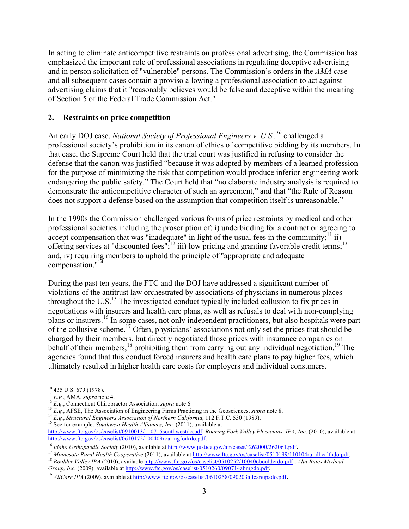In acting to eliminate anticompetitive restraints on professional advertising, the Commission has emphasized the important role of professional associations in regulating deceptive advertising and in person solicitation of "vulnerable" persons. The Commission's orders in the *AMA* case and all subsequent cases contain a proviso allowing a professional association to act against advertising claims that it "reasonably believes would be false and deceptive within the meaning of Section 5 of the Federal Trade Commission Act."

#### **2. Restraints on price competition**

An early DOJ case, *National Society of Professional Engineers v. U.S.*,<sup>10</sup> challenged a professional society's prohibition in its canon of ethics of competitive bidding by its members. In that case, the Supreme Court held that the trial court was justified in refusing to consider the defense that the canon was justified "because it was adopted by members of a learned profession for the purpose of minimizing the risk that competition would produce inferior engineering work endangering the public safety." The Court held that "no elaborate industry analysis is required to demonstrate the anticompetitive character of such an agreement," and that "the Rule of Reason does not support a defense based on the assumption that competition itself is unreasonable."

In the 1990s the Commission challenged various forms of price restraints by medical and other professional societies including the proscription of: i) underbidding for a contract or agreeing to accept compensation that was "inadequate" in light of the usual fees in the community;<sup>11</sup> ii) offering services at "discounted fees"; $^{12}$  iii) low pricing and granting favorable credit terms;<sup>13</sup> and, iv) requiring members to uphold the principle of "appropriate and adequate compensation."<sup>14</sup>

During the past ten years, the FTC and the DOJ have addressed a significant number of violations of the antitrust law orchestrated by associations of physicians in numerous places throughout the U.S.<sup>15</sup> The investigated conduct typically included collusion to fix prices in negotiations with insurers and health care plans, as well as refusals to deal with non-complying plans or insurers.<sup>16</sup> In some cases, not only independent practitioners, but also hospitals were part of the collusive scheme.<sup>17</sup> Often, physicians' associations not only set the prices that should be charged by their members, but directly negotiated those prices with insurance companies on behalf of their members,<sup>18</sup> prohibiting them from carrying out any individual negotiation.<sup>19</sup> The agencies found that this conduct forced insurers and health care plans to pay higher fees, which ultimately resulted in higher health care costs for employers and individual consumers.

<sup>16</sup> Idaho Orthopaedic Society (2010), available at http://www.justice.gov/atr/cases/f262000/262061.pdf.<br><sup>17</sup> Minnesota Rural Health Cooperative (2011), available at http://www.ftc.gov/os/caselist/0510199/110104ruralhealt *Group, Inc.* (2009), available at http://www.ftc.gov/os/caselist/0510260/090714abmgdo.pdf.

<sup>&</sup>lt;sup>10</sup> 435 U.S. 679 (1978).<br><sup>11</sup> *E.g.*, AMA, *supra* note 4.<br><sup>12</sup> *E.g.*, Connecticut Chiropractor Association, *supra* note 6.<br><sup>13</sup> *E.g.*, AFSE, The Association of Engineering Firms Practicing in the Geosciences, *supra* 

http://www.ftc.gov/os/caselist/0910013/110715southwestdo.pdf; *Roaring Fork Valley Physicians, IPA, Inc*. (2010), available at http://www.ftc.gov/os/caselist/0610172/100409roaringforkdo.pdf.

<sup>&</sup>lt;sup>19</sup> *AllCare IPA* (2009), available at http://www.ftc.gov/os/caselist/0610258/090203allcareipado.pdf.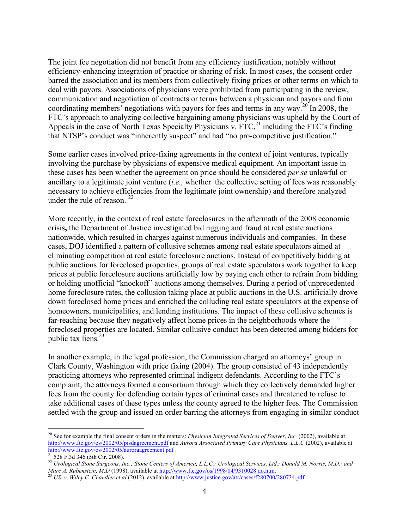The joint fee negotiation did not benefit from any efficiency justification, notably without efficiency-enhancing integration of practice or sharing of risk. In most cases, the consent order barred the association and its members from collectively fixing prices or other terms on which to deal with payors. Associations of physicians were prohibited from participating in the review, communication and negotiation of contracts or terms between a physician and payors and from coordinating members' negotiations with payors for fees and terms in any way.<sup>20</sup> In 2008, the FTC's approach to analyzing collective bargaining among physicians was upheld by the Court of Appeals in the case of North Texas Specialty Physicians v. FTC,<sup>21</sup> including the FTC's finding that NTSP's conduct was "inherently suspect" and had "no pro-competitive justification."

Some earlier cases involved price-fixing agreements in the context of joint ventures, typically involving the purchase by physicians of expensive medical equipment. An important issue in these cases has been whether the agreement on price should be considered *per se* unlawful or ancillary to a legitimate joint venture (*i.e.,* whether the collective setting of fees was reasonably necessary to achieve efficiencies from the legitimate joint ownership) and therefore analyzed under the rule of reason.  $22$ 

More recently, in the context of real estate foreclosures in the aftermath of the 2008 economic crisis**,** the Department of Justice investigated bid rigging and fraud at real estate auctions nationwide, which resulted in charges against numerous individuals and companies. In these cases, DOJ identified a pattern of collusive schemes among real estate speculators aimed at eliminating competition at real estate foreclosure auctions. Instead of competitively bidding at public auctions for foreclosed properties, groups of real estate speculators work together to keep prices at public foreclosure auctions artificially low by paying each other to refrain from bidding or holding unofficial "knockoff" auctions among themselves. During a period of unprecedented home foreclosure rates, the collusion taking place at public auctions in the U.S. artificially drove down foreclosed home prices and enriched the colluding real estate speculators at the expense of homeowners, municipalities, and lending institutions. The impact of these collusive schemes is far-reaching because they negatively affect home prices in the neighborhoods where the foreclosed properties are located. Similar collusive conduct has been detected among bidders for public tax liens. $^{23}$ 

In another example, in the legal profession, the Commission charged an attorneys' group in Clark County, Washington with price fixing (2004). The group consisted of 43 independently practicing attorneys who represented criminal indigent defendants. According to the FTC's complaint, the attorneys formed a consortium through which they collectively demanded higher fees from the county for defending certain types of criminal cases and threatened to refuse to take additional cases of these types unless the county agreed to the higher fees. The Commission settled with the group and issued an order barring the attorneys from engaging in similar conduct

<sup>&</sup>lt;sup>20</sup> See for example the final consent orders in the matters: *Physician Integrated Services of Denver, Inc.* (2002), available at http://www.ftc.gov/os/2002/05/pisdagreement.pdf and *Aurora Associated Primary Care Physicians, L.L.C* (2002), available at

http://www.ftc.gov.gov/os/2002/05/auroraagreement.pdf . 21 528 F.3d 346 (5th Cir. 2008).<br><sup>21</sup> 528 F.3d 346 (5th Cir. 2008). <br><sup>22</sup> *Urological Stone Surgeons, Inc.; Stone Centers of America, L.L.C.; Urological Services, Ltd Marc A. Rubenstein, M.D* (1998), available at http://www.ftc.gov/os/1998/04/9310028.do.htm.<br><sup>23</sup> *US. v. Wiley C. Chandler et al* (2012), available at http://www.justice.gov/atr/cases/f280700/280734.pdf.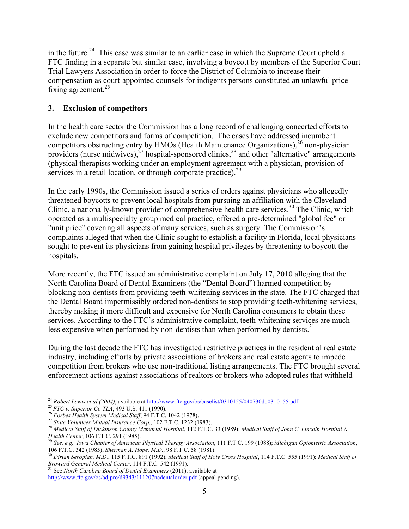in the future.<sup>24</sup> This case was similar to an earlier case in which the Supreme Court upheld a FTC finding in a separate but similar case, involving a boycott by members of the Superior Court Trial Lawyers Association in order to force the District of Columbia to increase their compensation as court-appointed counsels for indigents persons constituted an unlawful pricefixing agreement.<sup>25</sup>

# **3. Exclusion of competitors**

In the health care sector the Commission has a long record of challenging concerted efforts to exclude new competitors and forms of competition. The cases have addressed incumbent competitors obstructing entry by HMOs (Health Maintenance Organizations),<sup>26</sup> non-physician providers (nurse midwives), $^{27}$  hospital-sponsored clinics, $^{28}$  and other "alternative" arrangements (physical therapists working under an employment agreement with a physician, provision of services in a retail location, or through corporate practice).<sup>29</sup>

In the early 1990s, the Commission issued a series of orders against physicians who allegedly threatened boycotts to prevent local hospitals from pursuing an affiliation with the Cleveland Clinic, a nationally-known provider of comprehensive health care services.<sup>30</sup> The Clinic, which operated as a multispecialty group medical practice, offered a pre-determined "global fee" or "unit price" covering all aspects of many services, such as surgery. The Commission's complaints alleged that when the Clinic sought to establish a facility in Florida, local physicians sought to prevent its physicians from gaining hospital privileges by threatening to boycott the hospitals.

More recently, the FTC issued an administrative complaint on July 17, 2010 alleging that the North Carolina Board of Dental Examiners (the "Dental Board") harmed competition by blocking non-dentists from providing teeth-whitening services in the state. The FTC charged that the Dental Board impermissibly ordered non-dentists to stop providing teeth-whitening services, thereby making it more difficult and expensive for North Carolina consumers to obtain these services. According to the FTC's administrative complaint, teeth-whitening services are much less expensive when performed by non-dentists than when performed by dentists. $31$ 

During the last decade the FTC has investigated restrictive practices in the residential real estate industry, including efforts by private associations of brokers and real estate agents to impede competition from brokers who use non-traditional listing arrangements. The FTC brought several enforcement actions against associations of realtors or brokers who adopted rules that withheld

<sup>&</sup>lt;sup>24</sup> Robert Lewis et al. (2004), available at <u>http://www.ftc.gov/os/caselist/0310155/040730do0310155.pdf</u>.<br><sup>25</sup> FTC v. Superior Ct. TLA, 493 U.S. 411 (1990).<br><sup>26</sup> Forbes Health System Medical Staff, 94 F.T.C. 1042 (1978)

*Health Center*, 106 F.T.C. 291 (1985). <sup>29</sup> *See, e.g., Iowa Chapter of American Physical Therapy Association*, 111 F.T.C. 199 (1988); *Michigan Optometric Association*,

<sup>106</sup> F.T.C. 342 (1985); Sherman A. Hope, M.D., 98 F.T.C. 58 (1981).<br><sup>30</sup> Dirian Seropian, M.D., 115 F.T.C. 891 (1992); Medical Staff of Holy Cross Hospital, 114 F.T.C. 555 (1991); Medical Staff of

*Broward General Medical Center*, 114 F.T.C. 542 (1991). <sup>31</sup> See *North Carolina Board of Dental Examiners* (2011), available at

http://www.ftc.gov/os/adjpro/d9343/111207ncdentalorder.pdf (appeal pending).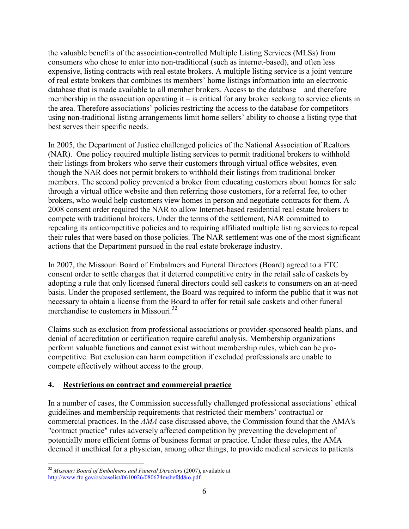the valuable benefits of the association-controlled Multiple Listing Services (MLSs) from consumers who chose to enter into non-traditional (such as internet-based), and often less expensive, listing contracts with real estate brokers. A multiple listing service is a joint venture of real estate brokers that combines its members' home listings information into an electronic database that is made available to all member brokers. Access to the database – and therefore membership in the association operating it – is critical for any broker seeking to service clients in the area. Therefore associations' policies restricting the access to the database for competitors using non-traditional listing arrangements limit home sellers' ability to choose a listing type that best serves their specific needs.

In 2005, the Department of Justice challenged policies of the National Association of Realtors (NAR). One policy required multiple listing services to permit traditional brokers to withhold their listings from brokers who serve their customers through virtual office websites, even though the NAR does not permit brokers to withhold their listings from traditional broker members. The second policy prevented a broker from educating customers about homes for sale through a virtual office website and then referring those customers, for a referral fee, to other brokers, who would help customers view homes in person and negotiate contracts for them. A 2008 consent order required the NAR to allow Internet-based residential real estate brokers to compete with traditional brokers. Under the terms of the settlement, NAR committed to repealing its anticompetitive policies and to requiring affiliated multiple listing services to repeal their rules that were based on those policies. The NAR settlement was one of the most significant actions that the Department pursued in the real estate brokerage industry.

In 2007, the Missouri Board of Embalmers and Funeral Directors (Board) agreed to a FTC consent order to settle charges that it deterred competitive entry in the retail sale of caskets by adopting a rule that only licensed funeral directors could sell caskets to consumers on an at-need basis. Under the proposed settlement, the Board was required to inform the public that it was not necessary to obtain a license from the Board to offer for retail sale caskets and other funeral merchandise to customers in Missouri.<sup>32</sup>

Claims such as exclusion from professional associations or provider-sponsored health plans, and denial of accreditation or certification require careful analysis. Membership organizations perform valuable functions and cannot exist without membership rules, which can be procompetitive. But exclusion can harm competition if excluded professionals are unable to compete effectively without access to the group.

# **4. Restrictions on contract and commercial practice**

In a number of cases, the Commission successfully challenged professional associations' ethical guidelines and membership requirements that restricted their members' contractual or commercial practices. In the *AMA* case discussed above, the Commission found that the AMA's "contract practice" rules adversely affected competition by preventing the development of potentially more efficient forms of business format or practice. Under these rules, the AMA deemed it unethical for a physician, among other things, to provide medical services to patients

 <sup>32</sup> *Missouri Board of Embalmers and Funeral Directors* (2007), available at http://www.ftc.gov/os/caselist/0610026/080624msbefdd&o.pdf.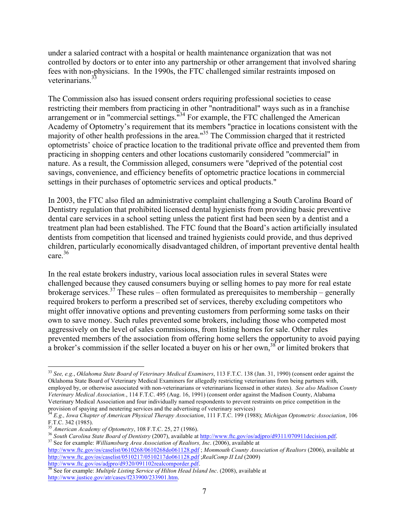under a salaried contract with a hospital or health maintenance organization that was not controlled by doctors or to enter into any partnership or other arrangement that involved sharing fees with non-physicians. In the 1990s, the FTC challenged similar restraints imposed on veterinarians.

The Commission also has issued consent orders requiring professional societies to cease restricting their members from practicing in other "nontraditional" ways such as in a franchise arrangement or in "commercial settings."<sup>34</sup> For example, the FTC challenged the American Academy of Optometry's requirement that its members "practice in locations consistent with the majority of other health professions in the area."35 The Commission charged that it restricted optometrists' choice of practice location to the traditional private office and prevented them from practicing in shopping centers and other locations customarily considered "commercial" in nature. As a result, the Commission alleged, consumers were "deprived of the potential cost savings, convenience, and efficiency benefits of optometric practice locations in commercial settings in their purchases of optometric services and optical products."

In 2003, the FTC also filed an administrative complaint challenging a South Carolina Board of Dentistry regulation that prohibited licensed dental hygienists from providing basic preventive dental care services in a school setting unless the patient first had been seen by a dentist and a treatment plan had been established. The FTC found that the Board's action artificially insulated dentists from competition that licensed and trained hygienists could provide, and thus deprived children, particularly economically disadvantaged children, of important preventive dental health care.<sup>36</sup>

In the real estate brokers industry, various local association rules in several States were challenged because they caused consumers buying or selling homes to pay more for real estate brokerage services.<sup>37</sup> These rules – often formulated as prerequisites to membership – generally required brokers to perform a prescribed set of services, thereby excluding competitors who might offer innovative options and preventing customers from performing some tasks on their own to save money. Such rules prevented some brokers, including those who competed most aggressively on the level of sales commissions, from listing homes for sale. Other rules prevented members of the association from offering home sellers the opportunity to avoid paying a broker's commission if the seller located a buyer on his or her own,<sup>38</sup> or limited brokers that

 <sup>33</sup> *See, e.g.*, *Oklahoma State Board of Veterinary Medical Examiners*, 113 F.T.C. 138 (Jan. 31, 1990) (consent order against the Oklahoma State Board of Veterinary Medical Examiners for allegedly restricting veterinarians from being partners with, employed by, or otherwise associated with non-veterinarians or veterinarians licensed in other states). *See also Madison County Veterinary Medical Association.*, 114 F.T.C. 495 (Aug. 16, 1991) (consent order against the Madison County, Alabama Veterinary Medical Association and four individually named respondents to prevent restraints on price competition in the

provision of spaying and neutering services and the advertising of veterinary services)<br><sup>34</sup> E.g., Iowa Chapter of American Physical Therapy Association, 111 F.T.C. 199 (1988); Michigan Optometric Association, 106 F.T.C. 342 (1985).<br>
F.T.C. 342 (1985).<br>
<sup>35</sup> American Academy of Optometry, 108 F.T.C. 25, 27 (1986).

<sup>&</sup>lt;sup>36</sup> South Carolina State Board of Dentistry (2007), available at http://www.ftc.gov/os/adjpro/d9311/070911decision.pdf.<br><sup>37</sup> See for example: *Williamsburg Area Association of Realtors*, *Inc.* (2006), available at

http://www.ftc.gov/os/caselist/0610268/0610268do061128.pdf ; *Monmouth County Association of Realtors* (2006), available at http://www.ftc.gov/os/caselist/0510217/0510217do061128.pdf ;*RealComp II Ltd* (2009)<br>http://www.ftc.gov/os/adjpro/d9320/091102realcomporder.pdf.<br><sup>38</sup> See for available *M* is in the state of the state of the state of the s

See for example: *Multiple Listing Service of Hilton Head Island Inc.* (2008), available at http://www.justice.gov/atr/cases/f233900/233901.htm.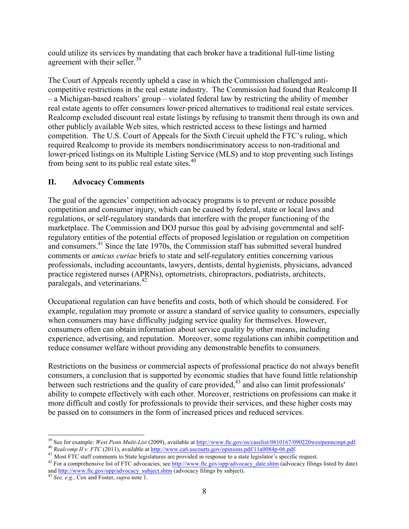could utilize its services by mandating that each broker have a traditional full-time listing agreement with their seller.<sup>39</sup>

The Court of Appeals recently upheld a case in which the Commission challenged anticompetitive restrictions in the real estate industry. The Commission had found that Realcomp II – a Michigan-based realtors' group – violated federal law by restricting the ability of member real estate agents to offer consumers lower-priced alternatives to traditional real estate services. Realcomp excluded discount real estate listings by refusing to transmit them through its own and other publicly available Web sites, which restricted access to these listings and harmed competition. The U.S. Court of Appeals for the Sixth Circuit upheld the FTC's ruling, which required Realcomp to provide its members nondiscriminatory access to non-traditional and lower-priced listings on its Multiple Listing Service (MLS) and to stop preventing such listings from being sent to its public real estate sites.<sup>40</sup>

# **II. Advocacy Comments**

The goal of the agencies' competition advocacy programs is to prevent or reduce possible competition and consumer injury, which can be caused by federal, state or local laws and regulations, or self-regulatory standards that interfere with the proper functioning of the marketplace. The Commission and DOJ pursue this goal by advising governmental and selfregulatory entities of the potential effects of proposed legislation or regulation on competition and consumers.<sup>41</sup> Since the late 1970s, the Commission staff has submitted several hundred comments or *amicus curiae* briefs to state and self-regulatory entities concerning various professionals, including accountants, lawyers, dentists, dental hygienists, physicians, advanced practice registered nurses (APRNs), optometrists, chiropractors, podiatrists, architects, paralegals, and veterinarians.<sup>42</sup>

Occupational regulation can have benefits and costs, both of which should be considered. For example, regulation may promote or assure a standard of service quality to consumers, especially when consumers may have difficulty judging service quality for themselves. However, consumers often can obtain information about service quality by other means, including experience, advertising, and reputation. Moreover, some regulations can inhibit competition and reduce consumer welfare without providing any demonstrable benefits to consumers.

Restrictions on the business or commercial aspects of professional practice do not always benefit consumers, a conclusion that is supported by economic studies that have found little relationship between such restrictions and the quality of care provided,<sup>43</sup> and also can limit professionals' ability to compete effectively with each other. Moreover, restrictions on professions can make it more difficult and costly for professionals to provide their services, and these higher costs may be passed on to consumers in the form of increased prices and reduced services.

<sup>&</sup>lt;sup>39</sup> See for example: *West Penn Multi-List* (2009), available at <u>http://www.ftc.gov/os/caselist/0810167/090220westpennempt.pdf</u>.<br><sup>40</sup> Realcomp II v. FTC (2011), available at <u>http://www.ca6.uscourts.gov/opinions.pdf/11a</u>

and <u>http://www.ftc.gov/opp/advocacy\_subject.shtm</u> (advocacy filings by subject). 43 *See, e.g.*, *Cox and Foster, <i>supra* note 1.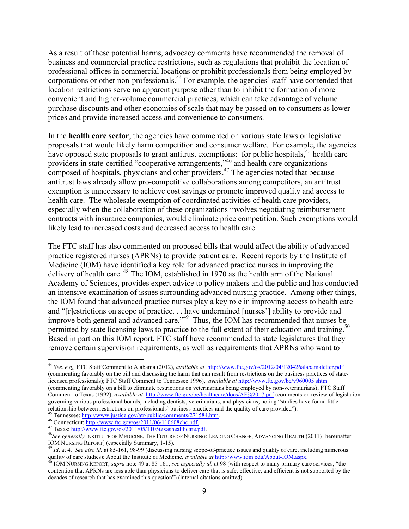As a result of these potential harms, advocacy comments have recommended the removal of business and commercial practice restrictions, such as regulations that prohibit the location of professional offices in commercial locations or prohibit professionals from being employed by corporations or other non-professionals.<sup>44</sup> For example, the agencies' staff have contended that location restrictions serve no apparent purpose other than to inhibit the formation of more convenient and higher-volume commercial practices, which can take advantage of volume purchase discounts and other economies of scale that may be passed on to consumers as lower prices and provide increased access and convenience to consumers.

In the **health care sector**, the agencies have commented on various state laws or legislative proposals that would likely harm competition and consumer welfare. For example, the agencies have opposed state proposals to grant antitrust exemptions: for public hospitals,<sup>45</sup> health care providers in state-certified "cooperative arrangements," <sup>46</sup> and health care organizations composed of hospitals, physicians and other providers.<sup>47</sup> The agencies noted that because antitrust laws already allow pro-competitive collaborations among competitors, an antitrust exemption is unnecessary to achieve cost savings or promote improved quality and access to health care. The wholesale exemption of coordinated activities of health care providers, especially when the collaboration of these organizations involves negotiating reimbursement contracts with insurance companies, would eliminate price competition. Such exemptions would likely lead to increased costs and decreased access to health care.

The FTC staff has also commented on proposed bills that would affect the ability of advanced practice registered nurses (APRNs) to provide patient care. Recent reports by the Institute of Medicine (IOM) have identified a key role for advanced practice nurses in improving the delivery of health care. <sup>48</sup> The IOM, established in 1970 as the health arm of the National Academy of Sciences, provides expert advice to policy makers and the public and has conducted an intensive examination of issues surrounding advanced nursing practice. Among other things, the IOM found that advanced practice nurses play a key role in improving access to health care and "[r]estrictions on scope of practice. . . have undermined [nurses'] ability to provide and improve both general and advanced care."49 Thus, the IOM has recommended that nurses be permitted by state licensing laws to practice to the full extent of their education and training.<sup>50</sup> Based in part on this IOM report, FTC staff have recommended to state legislatures that they remove certain supervision requirements, as well as requirements that APRNs who want to

 <sup>44</sup> *See, e.g,,* FTC Staff Comment to Alabama (2012), *available at* http://www.ftc.gov/os/2012/04/120426alabamaletter.pdf (commenting favorably on the bill and discussing the harm that can result from restrictions on the business practices of statelicensed professionals); FTC Staff Comment to Tennessee 1996), *available at* http://www.ftc.gov/be/v960005.shtm (commenting favorably on a bill to eliminate restrictions on veterinarians being employed by non-veterinarians); FTC Staff Comment to Texas (1992), *available at* http://www.ftc.gov/be/healthcare/docs/AF%2017.pdf (comments on review of legislation governing various professional boards, including dentists, veterinarians, and physicians, noting "studies have found little relationship between restrictions on professionals' business practices and the quality of care provided").<br><sup>45</sup> Tennessee: http://www.justice.gov/atr/public/comments/271584.htm.

<sup>&</sup>lt;sup>46</sup> Connecticut: http://www.ftc.gov/os/2011/06/110608chc.pdf.<br><sup>47</sup> Texas: http://www.ftc.gov/os/2011/05/1105texashealthcare.pdf.<br><sup>48</sup> See generally INSTITUTE OF MEDICINE, THE FUTURE OF NURSING: LEADING CHANGE, ADVANCING H IOM NURSING REPORT] (especially Summary, 1-15). <sup>49</sup> *Id*. at 4. *See also id.* at 85-161, 98-99 (discussing nursing scope-of-practice issues and quality of care, including numerous

quality of care studies); About the Institute of Medicine, *available at http://www.iom.edu/About-IOM.aspx.*<br><sup>50</sup> IOM NURSING REPORT, *supra* note 49 at 85-161; *see especially id.* at 98 (with respect to many primary care

contention that APRNs are less able than physicians to deliver care that is safe, effective, and efficient is not supported by the decades of research that has examined this question") (internal citations omitted).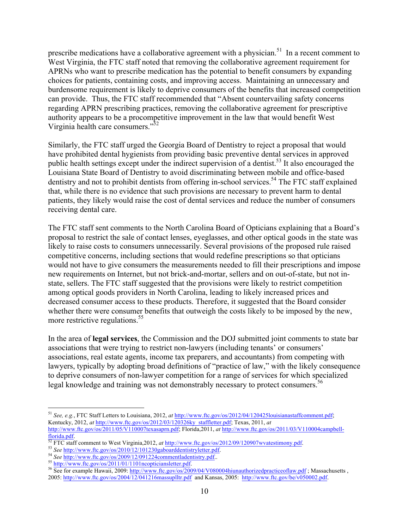prescribe medications have a collaborative agreement with a physician.<sup>51</sup> In a recent comment to West Virginia, the FTC staff noted that removing the collaborative agreement requirement for APRNs who want to prescribe medication has the potential to benefit consumers by expanding choices for patients, containing costs, and improving access. Maintaining an unnecessary and burdensome requirement is likely to deprive consumers of the benefits that increased competition can provide. Thus, the FTC staff recommended that "Absent countervailing safety concerns regarding APRN prescribing practices, removing the collaborative agreement for prescriptive authority appears to be a procompetitive improvement in the law that would benefit West Virginia health care consumers."52

Similarly, the FTC staff urged the Georgia Board of Dentistry to reject a proposal that would have prohibited dental hygienists from providing basic preventive dental services in approved public health settings except under the indirect supervision of a dentist.<sup>53</sup> It also encouraged the Louisiana State Board of Dentistry to avoid discriminating between mobile and office-based dentistry and not to prohibit dentists from offering in-school services.<sup>54</sup> The FTC staff explained that, while there is no evidence that such provisions are necessary to prevent harm to dental patients, they likely would raise the cost of dental services and reduce the number of consumers receiving dental care.

The FTC staff sent comments to the North Carolina Board of Opticians explaining that a Board's proposal to restrict the sale of contact lenses, eyeglasses, and other optical goods in the state was likely to raise costs to consumers unnecessarily. Several provisions of the proposed rule raised competitive concerns, including sections that would redefine prescriptions so that opticians would not have to give consumers the measurements needed to fill their prescriptions and impose new requirements on Internet, but not brick-and-mortar, sellers and on out-of-state, but not instate, sellers. The FTC staff suggested that the provisions were likely to restrict competition among optical goods providers in North Carolina, leading to likely increased prices and decreased consumer access to these products. Therefore, it suggested that the Board consider whether there were consumer benefits that outweigh the costs likely to be imposed by the new, more restrictive regulations.<sup>55</sup>

In the area of **legal services**, the Commission and the DOJ submitted joint comments to state bar associations that were trying to restrict non-lawyers (including tenants' or consumers' associations, real estate agents, income tax preparers, and accountants) from competing with lawyers, typically by adopting broad definitions of "practice of law," with the likely consequence to deprive consumers of non-lawyer competition for a range of services for which specialized legal knowledge and training was not demonstrably necessary to protect consumers.<sup>56</sup>

 <sup>51</sup> *See, e.g.*, FTC Staff Letters to Louisiana, 2012, *at* http://www.ftc.gov/os/2012/04/120425louisianastaffcomment.pdf; Kentucky, 2012, *at* http://www.ftc.gov/os/2012/03/120326ky\_staffletter.pdf; Texas, 2011, *at* http://www.ftc.gov/os/2011/05/V110007texasaprn.pdf; Florida,2011, *at* http://www.ftc.gov/os/2011/03/V110004campbell-

Florida.pdf.<br>
<sup>52</sup> FTC staff comment to West Virginia,2012, *at* http://www.ftc.gov/os/2012/09/120907wvatestimony.pdf.<br>
<sup>53</sup> See http://www.ftc.gov/os/2010/12/101230gaboarddentistryletter.pdf.<br>
<sup>54</sup> See http://www.ftc.gov

<sup>&</sup>lt;sup>56</sup> See for example Hawaii, 2009: http://www.ftc.gov/os/2009/04/V080004hiunauthorizedpracticeoflaw.pdf; Massachusetts, 2005: http://www.ftc.gov/os/2004/12/041216massuplltr.pdf and Kansas, 2005: http://www.ftc.gov/be/v0500